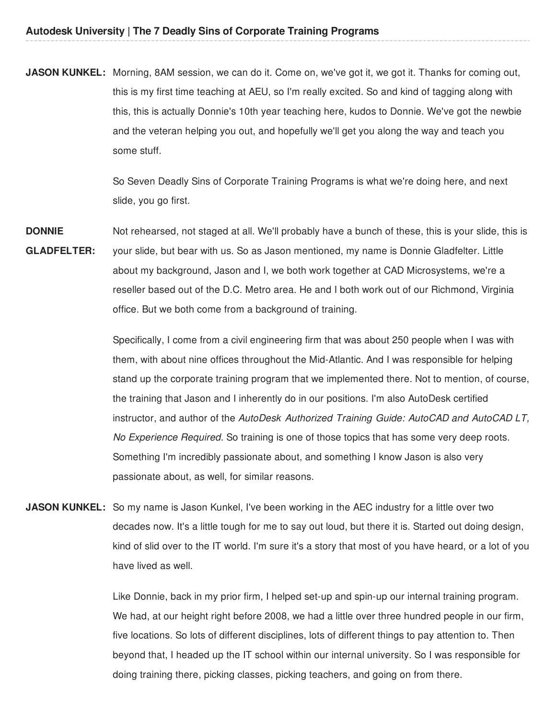**JASON KUNKEL:** Morning, 8AM session, we can do it. Come on, we've got it, we got it. Thanks for coming out, this is my first time teaching at AEU, so I'm really excited. So and kind of tagging along with this, this is actually Donnie's 10th year teaching here, kudos to Donnie. We've got the newbie and the veteran helping you out, and hopefully we'll get you along the way and teach you some stuff.

> So Seven Deadly Sins of Corporate Training Programs is what we're doing here, and next slide, you go first.

**DONNIE GLADFELTER:** Not rehearsed, not staged at all. We'll probably have a bunch of these, this is your slide, this is your slide, but bear with us. So as Jason mentioned, my name is Donnie Gladfelter. Little about my background, Jason and I, we both work together at CAD Microsystems, we're a reseller based out of the D.C. Metro area. He and I both work out of our Richmond, Virginia office. But we both come from a background of training.

> Specifically, I come from a civil engineering firm that was about 250 people when I was with them, with about nine offices throughout the Mid-Atlantic. And I was responsible for helping stand up the corporate training program that we implemented there. Not to mention, of course, the training that Jason and I inherently do in our positions. I'm also AutoDesk certified instructor, and author of the *AutoDesk Authorized Training Guide: AutoCAD and AutoCAD LT, No Experience Required.* So training is one of those topics that has some very deep roots. Something I'm incredibly passionate about, and something I know Jason is also very passionate about, as well, for similar reasons.

**JASON KUNKEL:** So my name is Jason Kunkel, I've been working in the AEC industry for a little over two decades now. It's a little tough for me to say out loud, but there it is. Started out doing design, kind of slid over to the IT world. I'm sure it's a story that most of you have heard, or a lot of you have lived as well.

> Like Donnie, back in my prior firm, I helped set-up and spin-up our internal training program. We had, at our height right before 2008, we had a little over three hundred people in our firm, five locations. So lots of different disciplines, lots of different things to pay attention to. Then beyond that, I headed up the IT school within our internal university. So I was responsible for doing training there, picking classes, picking teachers, and going on from there.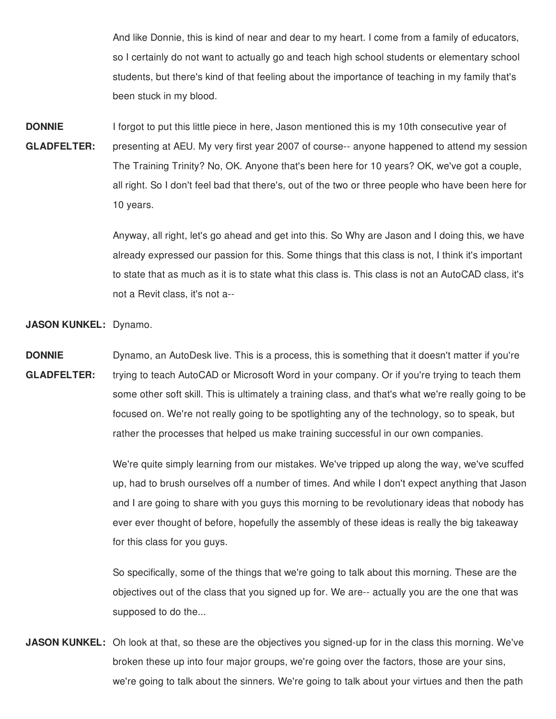And like Donnie, this is kind of near and dear to my heart. I come from a family of educators, so I certainly do not want to actually go and teach high school students or elementary school students, but there's kind of that feeling about the importance of teaching in my family that's been stuck in my blood.

**DONNIE GLADFELTER:** I forgot to put this little piece in here, Jason mentioned this is my 10th consecutive year of presenting at AEU. My very first year 2007 of course-- anyone happened to attend my session The Training Trinity? No, OK. Anyone that's been here for 10 years? OK, we've got a couple, all right. So I don't feel bad that there's, out of the two or three people who have been here for 10 years.

> Anyway, all right, let's go ahead and get into this. So Why are Jason and I doing this, we have already expressed our passion for this. Some things that this class is not, I think it's important to state that as much as it is to state what this class is. This class is not an AutoCAD class, it's not a Revit class, it's not a--

**JASON KUNKEL:** Dynamo.

**DONNIE GLADFELTER:** Dynamo, an AutoDesk live. This is a process, this is something that it doesn't matter if you're trying to teach AutoCAD or Microsoft Word in your company. Or if you're trying to teach them some other soft skill. This is ultimately a training class, and that's what we're really going to be focused on. We're not really going to be spotlighting any of the technology, so to speak, but rather the processes that helped us make training successful in our own companies.

> We're quite simply learning from our mistakes. We've tripped up along the way, we've scuffed up, had to brush ourselves off a number of times. And while I don't expect anything that Jason and I are going to share with you guys this morning to be revolutionary ideas that nobody has ever ever thought of before, hopefully the assembly of these ideas is really the big takeaway for this class for you guys.

So specifically, some of the things that we're going to talk about this morning. These are the objectives out of the class that you signed up for. We are-- actually you are the one that was supposed to do the...

**JASON KUNKEL:** Oh look at that, so these are the objectives you signed-up for in the class this morning. We've broken these up into four major groups, we're going over the factors, those are your sins, we're going to talk about the sinners. We're going to talk about your virtues and then the path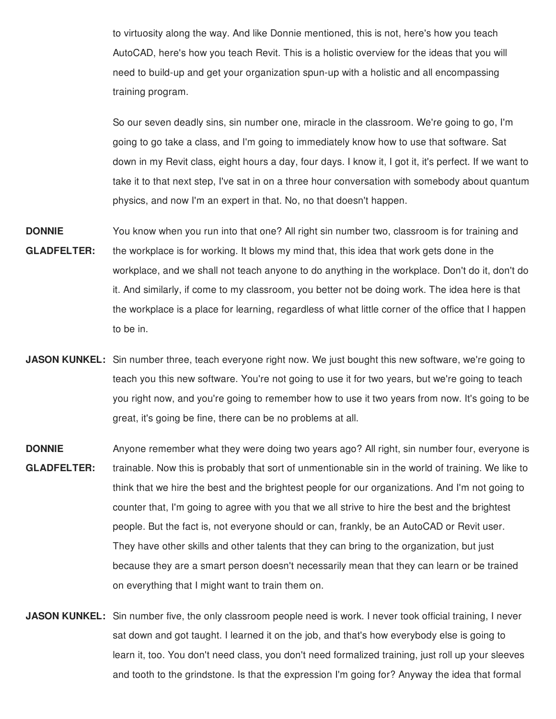to virtuosity along the way. And like Donnie mentioned, this is not, here's how you teach AutoCAD, here's how you teach Revit. This is a holistic overview for the ideas that you will need to build-up and get your organization spun-up with a holistic and all encompassing training program.

So our seven deadly sins, sin number one, miracle in the classroom. We're going to go, I'm going to go take a class, and I'm going to immediately know how to use that software. Sat down in my Revit class, eight hours a day, four days. I know it, I got it, it's perfect. If we want to take it to that next step, I've sat in on a three hour conversation with somebody about quantum physics, and now I'm an expert in that. No, no that doesn't happen.

- **DONNIE GLADFELTER:** You know when you run into that one? All right sin number two, classroom is for training and the workplace is for working. It blows my mind that, this idea that work gets done in the workplace, and we shall not teach anyone to do anything in the workplace. Don't do it, don't do it. And similarly, if come to my classroom, you better not be doing work. The idea here is that the workplace is a place for learning, regardless of what little corner of the office that I happen to be in.
- **JASON KUNKEL:** Sin number three, teach everyone right now. We just bought this new software, we're going to teach you this new software. You're not going to use it for two years, but we're going to teach you right now, and you're going to remember how to use it two years from now. It's going to be great, it's going be fine, there can be no problems at all.
- **DONNIE GLADFELTER:** Anyone remember what they were doing two years ago? All right, sin number four, everyone is trainable. Now this is probably that sort of unmentionable sin in the world of training. We like to think that we hire the best and the brightest people for our organizations. And I'm not going to counter that, I'm going to agree with you that we all strive to hire the best and the brightest people. But the fact is, not everyone should or can, frankly, be an AutoCAD or Revit user. They have other skills and other talents that they can bring to the organization, but just because they are a smart person doesn't necessarily mean that they can learn or be trained on everything that I might want to train them on.
- **JASON KUNKEL:** Sin number five, the only classroom people need is work. I never took official training, I never sat down and got taught. I learned it on the job, and that's how everybody else is going to learn it, too. You don't need class, you don't need formalized training, just roll up your sleeves and tooth to the grindstone. Is that the expression I'm going for? Anyway the idea that formal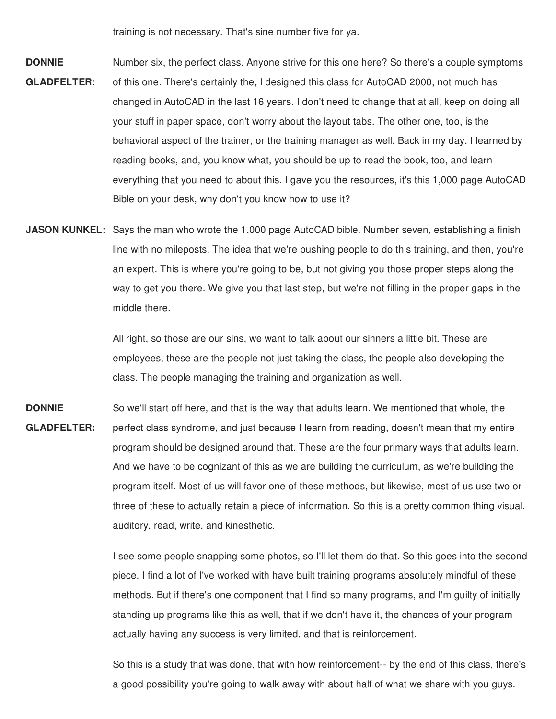training is not necessary. That's sine number five for ya.

- **DONNIE GLADFELTER:** Number six, the perfect class. Anyone strive for this one here? So there's a couple symptoms of this one. There's certainly the, I designed this class for AutoCAD 2000, not much has changed in AutoCAD in the last 16 years. I don't need to change that at all, keep on doing all your stuff in paper space, don't worry about the layout tabs. The other one, too, is the behavioral aspect of the trainer, or the training manager as well. Back in my day, I learned by reading books, and, you know what, you should be up to read the book, too, and learn everything that you need to about this. I gave you the resources, it's this 1,000 page AutoCAD Bible on your desk, why don't you know how to use it?
- **JASON KUNKEL:** Says the man who wrote the 1,000 page AutoCAD bible. Number seven, establishing a finish line with no mileposts. The idea that we're pushing people to do this training, and then, you're an expert. This is where you're going to be, but not giving you those proper steps along the way to get you there. We give you that last step, but we're not filling in the proper gaps in the middle there.

All right, so those are our sins, we want to talk about our sinners a little bit. These are employees, these are the people not just taking the class, the people also developing the class. The people managing the training and organization as well.

**DONNIE GLADFELTER:** So we'll start off here, and that is the way that adults learn. We mentioned that whole, the perfect class syndrome, and just because I learn from reading, doesn't mean that my entire program should be designed around that. These are the four primary ways that adults learn. And we have to be cognizant of this as we are building the curriculum, as we're building the program itself. Most of us will favor one of these methods, but likewise, most of us use two or three of these to actually retain a piece of information. So this is a pretty common thing visual, auditory, read, write, and kinesthetic.

> I see some people snapping some photos, so I'll let them do that. So this goes into the second piece. I find a lot of I've worked with have built training programs absolutely mindful of these methods. But if there's one component that I find so many programs, and I'm guilty of initially standing up programs like this as well, that if we don't have it, the chances of your program actually having any success is very limited, and that is reinforcement.

> So this is a study that was done, that with how reinforcement-- by the end of this class, there's a good possibility you're going to walk away with about half of what we share with you guys.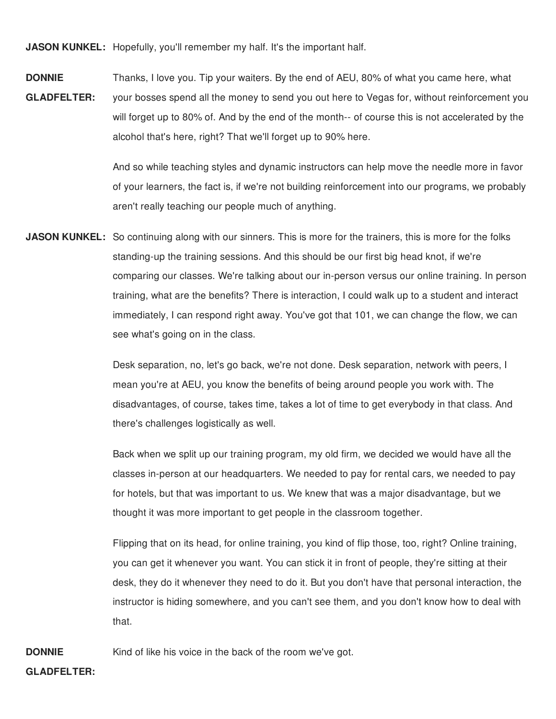**JASON KUNKEL:** Hopefully, you'll remember my half. It's the important half.

**DONNIE GLADFELTER:** Thanks, I love you. Tip your waiters. By the end of AEU, 80% of what you came here, what your bosses spend all the money to send you out here to Vegas for, without reinforcement you will forget up to 80% of. And by the end of the month-- of course this is not accelerated by the alcohol that's here, right? That we'll forget up to 90% here.

> And so while teaching styles and dynamic instructors can help move the needle more in favor of your learners, the fact is, if we're not building reinforcement into our programs, we probably aren't really teaching our people much of anything.

**JASON KUNKEL:** So continuing along with our sinners. This is more for the trainers, this is more for the folks standing-up the training sessions. And this should be our first big head knot, if we're comparing our classes. We're talking about our in-person versus our online training. In person training, what are the benefits? There is interaction, I could walk up to a student and interact immediately, I can respond right away. You've got that 101, we can change the flow, we can see what's going on in the class.

> Desk separation, no, let's go back, we're not done. Desk separation, network with peers, I mean you're at AEU, you know the benefits of being around people you work with. The disadvantages, of course, takes time, takes a lot of time to get everybody in that class. And there's challenges logistically as well.

> Back when we split up our training program, my old firm, we decided we would have all the classes in-person at our headquarters. We needed to pay for rental cars, we needed to pay for hotels, but that was important to us. We knew that was a major disadvantage, but we thought it was more important to get people in the classroom together.

Flipping that on its head, for online training, you kind of flip those, too, right? Online training, you can get it whenever you want. You can stick it in front of people, they're sitting at their desk, they do it whenever they need to do it. But you don't have that personal interaction, the instructor is hiding somewhere, and you can't see them, and you don't know how to deal with that.

**DONNIE** Kind of like his voice in the back of the room we've got.

**GLADFELTER:**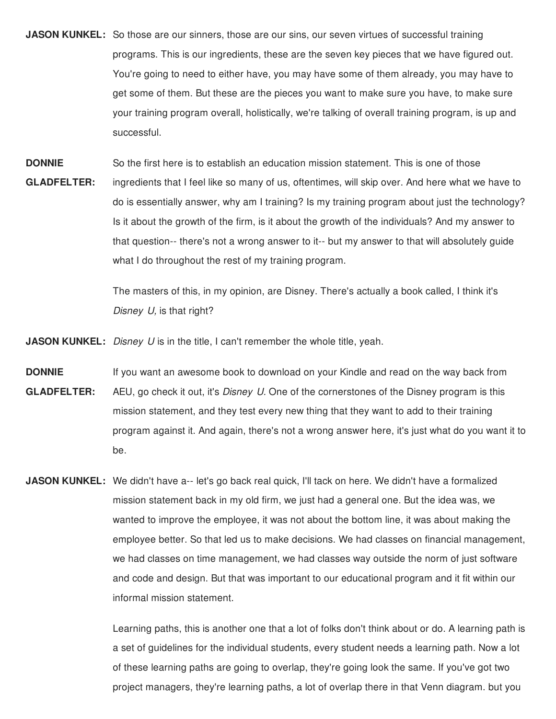- **JASON KUNKEL:** So those are our sinners, those are our sins, our seven virtues of successful training programs. This is our ingredients, these are the seven key pieces that we have figured out. You're going to need to either have, you may have some of them already, you may have to get some of them. But these are the pieces you want to make sure you have, to make sure your training program overall, holistically, we're talking of overall training program, is up and successful.
- **DONNIE GLADFELTER:** So the first here is to establish an education mission statement. This is one of those ingredients that I feel like so many of us, oftentimes, will skip over. And here what we have to do is essentially answer, why am I training? Is my training program about just the technology? Is it about the growth of the firm, is it about the growth of the individuals? And my answer to that question-- there's not a wrong answer to it-- but my answer to that will absolutely guide what I do throughout the rest of my training program.

The masters of this, in my opinion, are Disney. There's actually a book called, I think it's *Disney U,* is that right?

- **JASON KUNKEL:** *Disney U* is in the title, I can't remember the whole title, yeah.
- **DONNIE GLADFELTER:** If you want an awesome book to download on your Kindle and read on the way back from AEU, go check it out, it's *Disney U.* One of the cornerstones of the Disney program is this mission statement, and they test every new thing that they want to add to their training program against it. And again, there's not a wrong answer here, it's just what do you want it to be.
- **JASON KUNKEL:** We didn't have a-- let's go back real quick, I'll tack on here. We didn't have a formalized mission statement back in my old firm, we just had a general one. But the idea was, we wanted to improve the employee, it was not about the bottom line, it was about making the employee better. So that led us to make decisions. We had classes on financial management, we had classes on time management, we had classes way outside the norm of just software and code and design. But that was important to our educational program and it fit within our informal mission statement.

Learning paths, this is another one that a lot of folks don't think about or do. A learning path is a set of guidelines for the individual students, every student needs a learning path. Now a lot of these learning paths are going to overlap, they're going look the same. If you've got two project managers, they're learning paths, a lot of overlap there in that Venn diagram. but you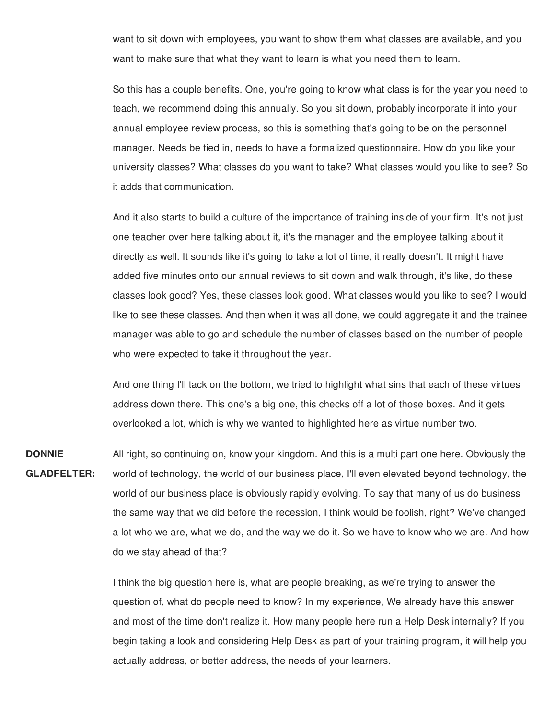want to sit down with employees, you want to show them what classes are available, and you want to make sure that what they want to learn is what you need them to learn.

So this has a couple benefits. One, you're going to know what class is for the year you need to teach, we recommend doing this annually. So you sit down, probably incorporate it into your annual employee review process, so this is something that's going to be on the personnel manager. Needs be tied in, needs to have a formalized questionnaire. How do you like your university classes? What classes do you want to take? What classes would you like to see? So it adds that communication.

And it also starts to build a culture of the importance of training inside of your firm. It's not just one teacher over here talking about it, it's the manager and the employee talking about it directly as well. It sounds like it's going to take a lot of time, it really doesn't. It might have added five minutes onto our annual reviews to sit down and walk through, it's like, do these classes look good? Yes, these classes look good. What classes would you like to see? I would like to see these classes. And then when it was all done, we could aggregate it and the trainee manager was able to go and schedule the number of classes based on the number of people who were expected to take it throughout the year.

And one thing I'll tack on the bottom, we tried to highlight what sins that each of these virtues address down there. This one's a big one, this checks off a lot of those boxes. And it gets overlooked a lot, which is why we wanted to highlighted here as virtue number two.

**DONNIE GLADFELTER:** All right, so continuing on, know your kingdom. And this is a multi part one here. Obviously the world of technology, the world of our business place, I'll even elevated beyond technology, the world of our business place is obviously rapidly evolving. To say that many of us do business the same way that we did before the recession, I think would be foolish, right? We've changed a lot who we are, what we do, and the way we do it. So we have to know who we are. And how do we stay ahead of that?

> I think the big question here is, what are people breaking, as we're trying to answer the question of, what do people need to know? In my experience, We already have this answer and most of the time don't realize it. How many people here run a Help Desk internally? If you begin taking a look and considering Help Desk as part of your training program, it will help you actually address, or better address, the needs of your learners.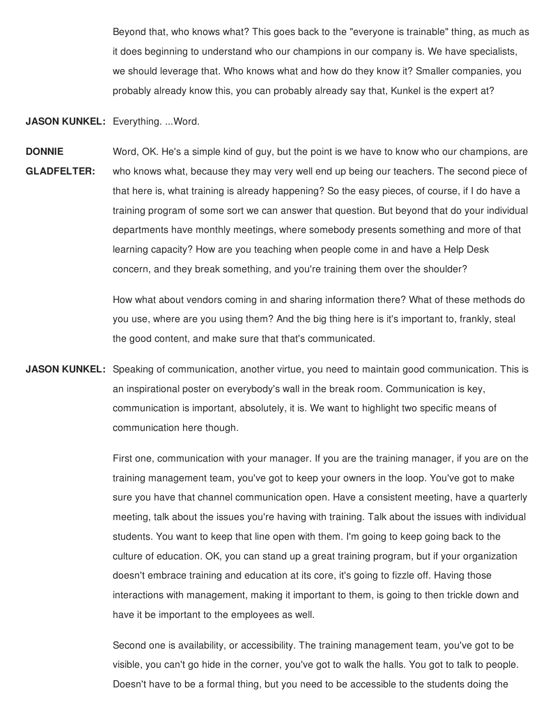Beyond that, who knows what? This goes back to the "everyone is trainable" thing, as much as it does beginning to understand who our champions in our company is. We have specialists, we should leverage that. Who knows what and how do they know it? Smaller companies, you probably already know this, you can probably already say that, Kunkel is the expert at?

## **JASON KUNKEL:** Everything. ...Word.

**DONNIE GLADFELTER:** Word, OK. He's a simple kind of guy, but the point is we have to know who our champions, are who knows what, because they may very well end up being our teachers. The second piece of that here is, what training is already happening? So the easy pieces, of course, if I do have a training program of some sort we can answer that question. But beyond that do your individual departments have monthly meetings, where somebody presents something and more of that learning capacity? How are you teaching when people come in and have a Help Desk concern, and they break something, and you're training them over the shoulder?

> How what about vendors coming in and sharing information there? What of these methods do you use, where are you using them? And the big thing here is it's important to, frankly, steal the good content, and make sure that that's communicated.

**JASON KUNKEL:** Speaking of communication, another virtue, you need to maintain good communication. This is an inspirational poster on everybody's wall in the break room. Communication is key, communication is important, absolutely, it is. We want to highlight two specific means of communication here though.

> First one, communication with your manager. If you are the training manager, if you are on the training management team, you've got to keep your owners in the loop. You've got to make sure you have that channel communication open. Have a consistent meeting, have a quarterly meeting, talk about the issues you're having with training. Talk about the issues with individual students. You want to keep that line open with them. I'm going to keep going back to the culture of education. OK, you can stand up a great training program, but if your organization doesn't embrace training and education at its core, it's going to fizzle off. Having those interactions with management, making it important to them, is going to then trickle down and have it be important to the employees as well.

Second one is availability, or accessibility. The training management team, you've got to be visible, you can't go hide in the corner, you've got to walk the halls. You got to talk to people. Doesn't have to be a formal thing, but you need to be accessible to the students doing the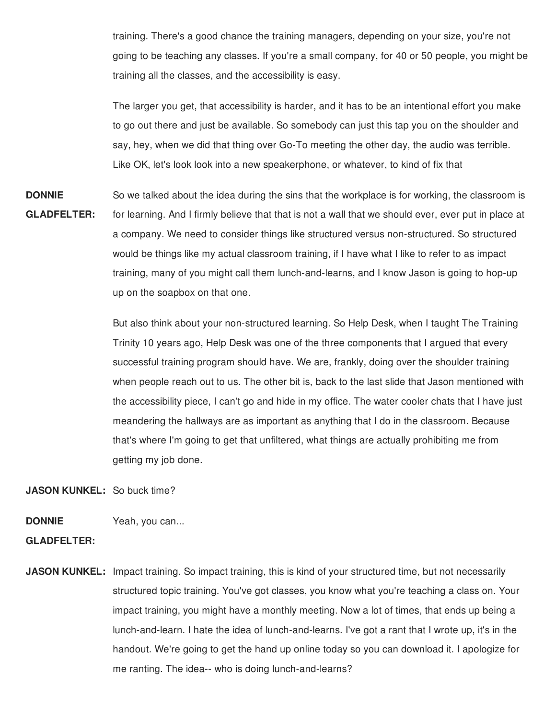training. There's a good chance the training managers, depending on your size, you're not going to be teaching any classes. If you're a small company, for 40 or 50 people, you might be training all the classes, and the accessibility is easy.

The larger you get, that accessibility is harder, and it has to be an intentional effort you make to go out there and just be available. So somebody can just this tap you on the shoulder and say, hey, when we did that thing over Go-To meeting the other day, the audio was terrible. Like OK, let's look look into a new speakerphone, or whatever, to kind of fix that

**DONNIE GLADFELTER:** So we talked about the idea during the sins that the workplace is for working, the classroom is for learning. And I firmly believe that that is not a wall that we should ever, ever put in place at a company. We need to consider things like structured versus non-structured. So structured would be things like my actual classroom training, if I have what I like to refer to as impact training, many of you might call them lunch-and-learns, and I know Jason is going to hop-up up on the soapbox on that one.

> But also think about your non-structured learning. So Help Desk, when I taught The Training Trinity 10 years ago, Help Desk was one of the three components that I argued that every successful training program should have. We are, frankly, doing over the shoulder training when people reach out to us. The other bit is, back to the last slide that Jason mentioned with the accessibility piece, I can't go and hide in my office. The water cooler chats that I have just meandering the hallways are as important as anything that I do in the classroom. Because that's where I'm going to get that unfiltered, what things are actually prohibiting me from getting my job done.

**JASON KUNKEL:** So buck time?

**DONNIE** Yeah, you can...

**GLADFELTER:**

**JASON KUNKEL:** Impact training. So impact training, this is kind of your structured time, but not necessarily structured topic training. You've got classes, you know what you're teaching a class on. Your impact training, you might have a monthly meeting. Now a lot of times, that ends up being a lunch-and-learn. I hate the idea of lunch-and-learns. I've got a rant that I wrote up, it's in the handout. We're going to get the hand up online today so you can download it. I apologize for me ranting. The idea-- who is doing lunch-and-learns?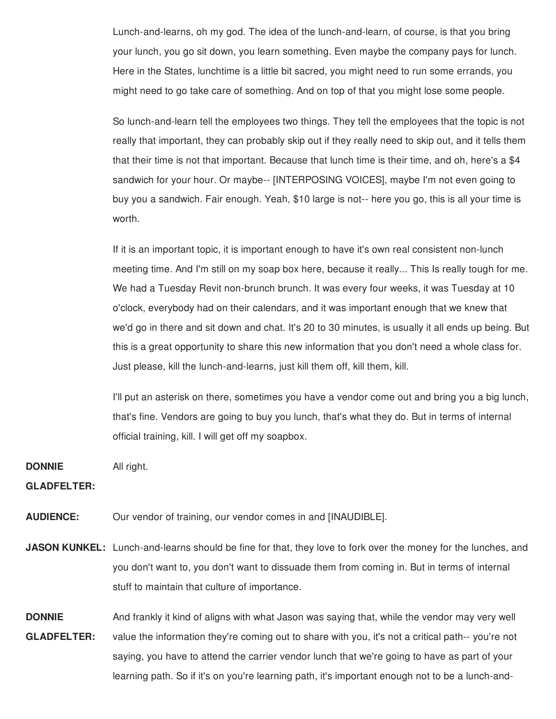Lunch-and-learns, oh my god. The idea of the lunch-and-learn, of course, is that you bring your lunch, you go sit down, you learn something. Even maybe the company pays for lunch. Here in the States, lunchtime is a little bit sacred, you might need to run some errands, you might need to go take care of something. And on top of that you might lose some people.

So lunch-and-learn tell the employees two things. They tell the employees that the topic is not really that important, they can probably skip out if they really need to skip out, and it tells them that their time is not that important. Because that lunch time is their time, and oh, here's a \$4 sandwich for your hour. Or maybe-- [INTERPOSING VOICES], maybe I'm not even going to buy you a sandwich. Fair enough. Yeah, \$10 large is not-- here you go, this is all your time is worth.

If it is an important topic, it is important enough to have it's own real consistent non-lunch meeting time. And I'm still on my soap box here, because it really... This Is really tough for me. We had a Tuesday Revit non-brunch brunch. It was every four weeks, it was Tuesday at 10 o'clock, everybody had on their calendars, and it was important enough that we knew that we'd go in there and sit down and chat. It's 20 to 30 minutes, is usually it all ends up being. But this is a great opportunity to share this new information that you don't need a whole class for. Just please, kill the lunch-and-learns, just kill them off, kill them, kill.

I'll put an asterisk on there, sometimes you have a vendor come out and bring you a big lunch, that's fine. Vendors are going to buy you lunch, that's what they do. But in terms of internal official training, kill. I will get off my soapbox.

**DONNIE** All right.

### **GLADFELTER:**

- **AUDIENCE:** Our vendor of training, our vendor comes in and [INAUDIBLE].
- **JASON KUNKEL:** Lunch-and-learns should be fine for that, they love to fork over the money for the lunches, and you don't want to, you don't want to dissuade them from coming in. But in terms of internal stuff to maintain that culture of importance.
- **DONNIE GLADFELTER:** And frankly it kind of aligns with what Jason was saying that, while the vendor may very well value the information they're coming out to share with you, it's not a critical path-- you're not saying, you have to attend the carrier vendor lunch that we're going to have as part of your learning path. So if it's on you're learning path, it's important enough not to be a lunch-and-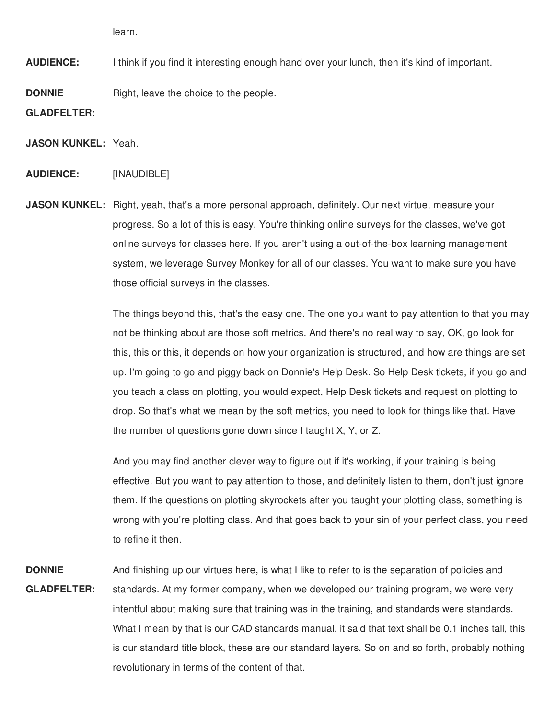learn.

**AUDIENCE:** I think if you find it interesting enough hand over your lunch, then it's kind of important.

**DONNIE** Right, leave the choice to the people.

**GLADFELTER:**

**JASON KUNKEL:** Yeah.

**AUDIENCE:** [INAUDIBLE]

**JASON KUNKEL:** Right, yeah, that's a more personal approach, definitely. Our next virtue, measure your progress. So a lot of this is easy. You're thinking online surveys for the classes, we've got online surveys for classes here. If you aren't using a out-of-the-box learning management system, we leverage Survey Monkey for all of our classes. You want to make sure you have those official surveys in the classes.

> The things beyond this, that's the easy one. The one you want to pay attention to that you may not be thinking about are those soft metrics. And there's no real way to say, OK, go look for this, this or this, it depends on how your organization is structured, and how are things are set up. I'm going to go and piggy back on Donnie's Help Desk. So Help Desk tickets, if you go and you teach a class on plotting, you would expect, Help Desk tickets and request on plotting to drop. So that's what we mean by the soft metrics, you need to look for things like that. Have the number of questions gone down since I taught X, Y, or Z.

> And you may find another clever way to figure out if it's working, if your training is being effective. But you want to pay attention to those, and definitely listen to them, don't just ignore them. If the questions on plotting skyrockets after you taught your plotting class, something is wrong with you're plotting class. And that goes back to your sin of your perfect class, you need to refine it then.

**DONNIE GLADFELTER:** And finishing up our virtues here, is what I like to refer to is the separation of policies and standards. At my former company, when we developed our training program, we were very intentful about making sure that training was in the training, and standards were standards. What I mean by that is our CAD standards manual, it said that text shall be 0.1 inches tall, this is our standard title block, these are our standard layers. So on and so forth, probably nothing revolutionary in terms of the content of that.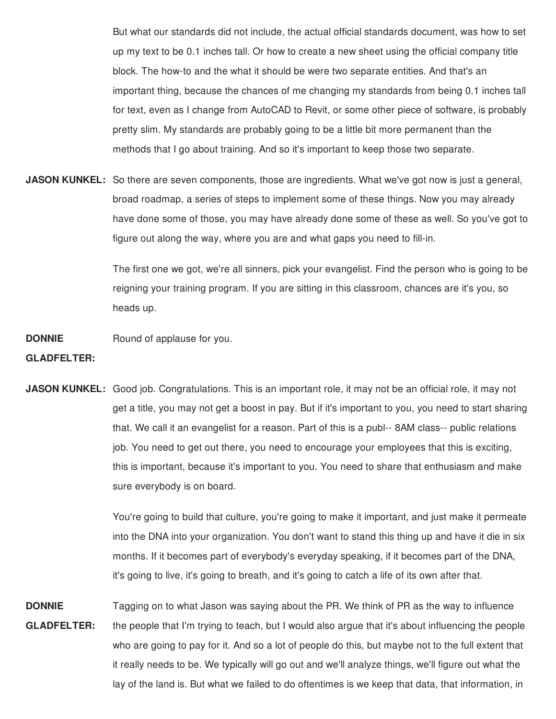But what our standards did not include, the actual official standards document, was how to set up my text to be 0.1 inches tall. Or how to create a new sheet using the official company title block. The how-to and the what it should be were two separate entities. And that's an important thing, because the chances of me changing my standards from being 0.1 inches tall for text, even as I change from AutoCAD to Revit, or some other piece of software, is probably pretty slim. My standards are probably going to be a little bit more permanent than the methods that I go about training. And so it's important to keep those two separate.

**JASON KUNKEL:** So there are seven components, those are ingredients. What we've got now is just a general, broad roadmap, a series of steps to implement some of these things. Now you may already have done some of those, you may have already done some of these as well. So you've got to figure out along the way, where you are and what gaps you need to fill-in.

> The first one we got, we're all sinners, pick your evangelist. Find the person who is going to be reigning your training program. If you are sitting in this classroom, chances are it's you, so heads up.

**DONNIE** Round of applause for you.

#### **GLADFELTER:**

**JASON KUNKEL:** Good job. Congratulations. This is an important role, it may not be an official role, it may not get a title, you may not get a boost in pay. But if it's important to you, you need to start sharing that. We call it an evangelist for a reason. Part of this is a publ-- 8AM class-- public relations job. You need to get out there, you need to encourage your employees that this is exciting, this is important, because it's important to you. You need to share that enthusiasm and make sure everybody is on board.

> You're going to build that culture, you're going to make it important, and just make it permeate into the DNA into your organization. You don't want to stand this thing up and have it die in six months. If it becomes part of everybody's everyday speaking, if it becomes part of the DNA, it's going to live, it's going to breath, and it's going to catch a life of its own after that.

**DONNIE GLADFELTER:** Tagging on to what Jason was saying about the PR. We think of PR as the way to influence the people that I'm trying to teach, but I would also argue that it's about influencing the people who are going to pay for it. And so a lot of people do this, but maybe not to the full extent that it really needs to be. We typically will go out and we'll analyze things, we'll figure out what the lay of the land is. But what we failed to do oftentimes is we keep that data, that information, in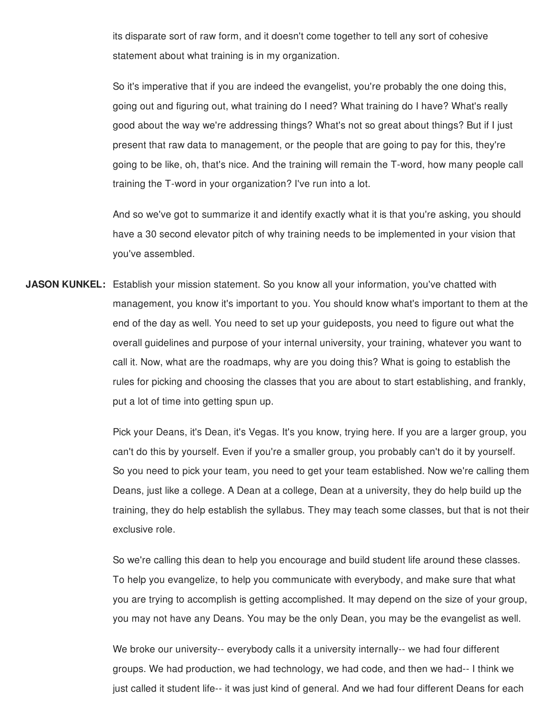its disparate sort of raw form, and it doesn't come together to tell any sort of cohesive statement about what training is in my organization.

So it's imperative that if you are indeed the evangelist, you're probably the one doing this, going out and figuring out, what training do I need? What training do I have? What's really good about the way we're addressing things? What's not so great about things? But if I just present that raw data to management, or the people that are going to pay for this, they're going to be like, oh, that's nice. And the training will remain the T-word, how many people call training the T-word in your organization? I've run into a lot.

And so we've got to summarize it and identify exactly what it is that you're asking, you should have a 30 second elevator pitch of why training needs to be implemented in your vision that you've assembled.

**JASON KUNKEL:** Establish your mission statement. So you know all your information, you've chatted with management, you know it's important to you. You should know what's important to them at the end of the day as well. You need to set up your guideposts, you need to figure out what the overall guidelines and purpose of your internal university, your training, whatever you want to call it. Now, what are the roadmaps, why are you doing this? What is going to establish the rules for picking and choosing the classes that you are about to start establishing, and frankly, put a lot of time into getting spun up.

> Pick your Deans, it's Dean, it's Vegas. It's you know, trying here. If you are a larger group, you can't do this by yourself. Even if you're a smaller group, you probably can't do it by yourself. So you need to pick your team, you need to get your team established. Now we're calling them Deans, just like a college. A Dean at a college, Dean at a university, they do help build up the training, they do help establish the syllabus. They may teach some classes, but that is not their exclusive role.

> So we're calling this dean to help you encourage and build student life around these classes. To help you evangelize, to help you communicate with everybody, and make sure that what you are trying to accomplish is getting accomplished. It may depend on the size of your group, you may not have any Deans. You may be the only Dean, you may be the evangelist as well.

> We broke our university-- everybody calls it a university internally-- we had four different groups. We had production, we had technology, we had code, and then we had-- I think we just called it student life-- it was just kind of general. And we had four different Deans for each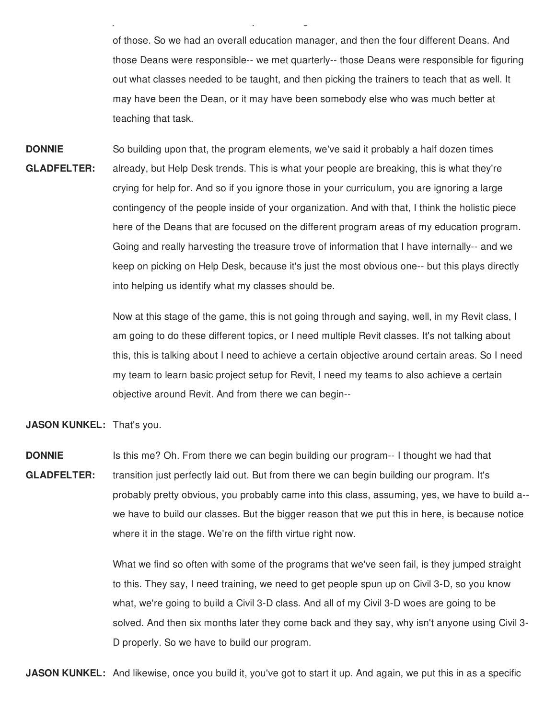of those. So we had an overall education manager, and then the four different Deans. And those Deans were responsible-- we met quarterly-- those Deans were responsible for figuring out what classes needed to be taught, and then picking the trainers to teach that as well. It may have been the Dean, or it may have been somebody else who was much better at teaching that task.

just called it student life-- it was just kind of general. And we had four different Deans for each

**DONNIE GLADFELTER:** So building upon that, the program elements, we've said it probably a half dozen times already, but Help Desk trends. This is what your people are breaking, this is what they're crying for help for. And so if you ignore those in your curriculum, you are ignoring a large contingency of the people inside of your organization. And with that, I think the holistic piece here of the Deans that are focused on the different program areas of my education program. Going and really harvesting the treasure trove of information that I have internally-- and we keep on picking on Help Desk, because it's just the most obvious one-- but this plays directly into helping us identify what my classes should be.

> Now at this stage of the game, this is not going through and saying, well, in my Revit class, I am going to do these different topics, or I need multiple Revit classes. It's not talking about this, this is talking about I need to achieve a certain objective around certain areas. So I need my team to learn basic project setup for Revit, I need my teams to also achieve a certain objective around Revit. And from there we can begin--

**JASON KUNKEL:** That's you.

**DONNIE GLADFELTER:** Is this me? Oh. From there we can begin building our program-- I thought we had that transition just perfectly laid out. But from there we can begin building our program. It's probably pretty obvious, you probably came into this class, assuming, yes, we have to build a- we have to build our classes. But the bigger reason that we put this in here, is because notice where it in the stage. We're on the fifth virtue right now.

> What we find so often with some of the programs that we've seen fail, is they jumped straight to this. They say, I need training, we need to get people spun up on Civil 3-D, so you know what, we're going to build a Civil 3-D class. And all of my Civil 3-D woes are going to be solved. And then six months later they come back and they say, why isn't anyone using Civil 3- D properly. So we have to build our program.

**JASON KUNKEL:** And likewise, once you build it, you've got to start it up. And again, we put this in as a specific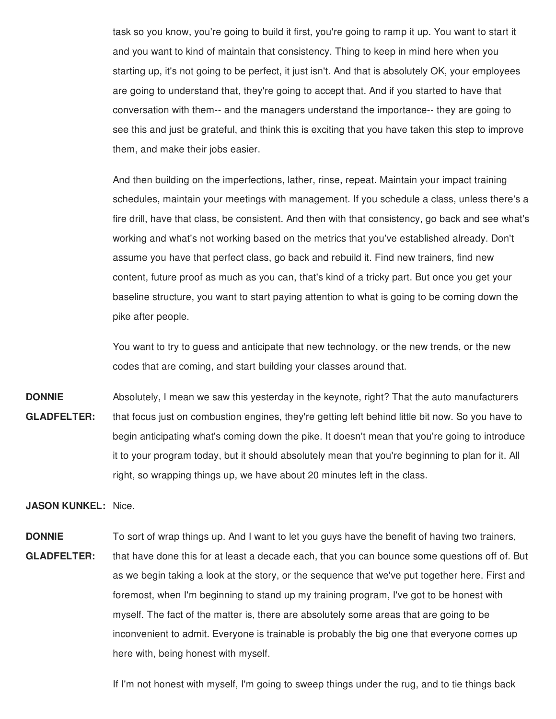task so you know, you're going to build it first, you're going to ramp it up. You want to start it and you want to kind of maintain that consistency. Thing to keep in mind here when you starting up, it's not going to be perfect, it just isn't. And that is absolutely OK, your employees are going to understand that, they're going to accept that. And if you started to have that conversation with them-- and the managers understand the importance-- they are going to see this and just be grateful, and think this is exciting that you have taken this step to improve them, and make their jobs easier.

And then building on the imperfections, lather, rinse, repeat. Maintain your impact training schedules, maintain your meetings with management. If you schedule a class, unless there's a fire drill, have that class, be consistent. And then with that consistency, go back and see what's working and what's not working based on the metrics that you've established already. Don't assume you have that perfect class, go back and rebuild it. Find new trainers, find new content, future proof as much as you can, that's kind of a tricky part. But once you get your baseline structure, you want to start paying attention to what is going to be coming down the pike after people.

You want to try to guess and anticipate that new technology, or the new trends, or the new codes that are coming, and start building your classes around that.

**DONNIE GLADFELTER:** Absolutely, I mean we saw this yesterday in the keynote, right? That the auto manufacturers that focus just on combustion engines, they're getting left behind little bit now. So you have to begin anticipating what's coming down the pike. It doesn't mean that you're going to introduce it to your program today, but it should absolutely mean that you're beginning to plan for it. All right, so wrapping things up, we have about 20 minutes left in the class.

**JASON KUNKEL:** Nice.

**DONNIE GLADFELTER:** To sort of wrap things up. And I want to let you guys have the benefit of having two trainers, that have done this for at least a decade each, that you can bounce some questions off of. But as we begin taking a look at the story, or the sequence that we've put together here. First and foremost, when I'm beginning to stand up my training program, I've got to be honest with myself. The fact of the matter is, there are absolutely some areas that are going to be inconvenient to admit. Everyone is trainable is probably the big one that everyone comes up here with, being honest with myself.

If I'm not honest with myself, I'm going to sweep things under the rug, and to tie things back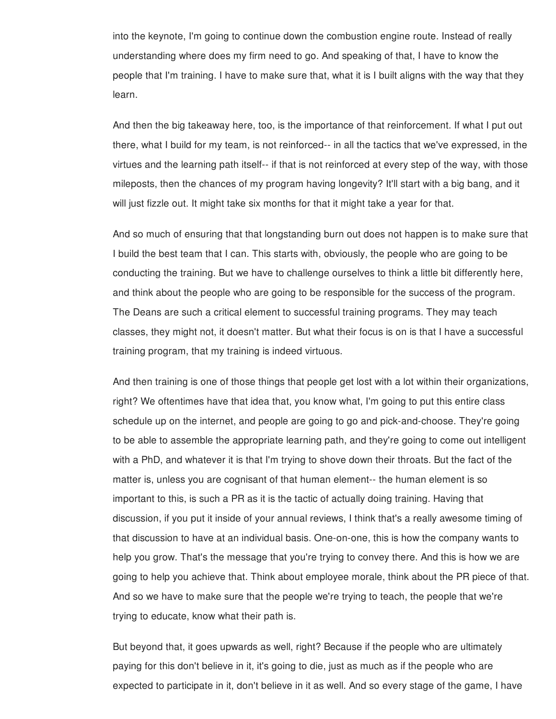into the keynote, I'm going to continue down the combustion engine route. Instead of really understanding where does my firm need to go. And speaking of that, I have to know the people that I'm training. I have to make sure that, what it is I built aligns with the way that they learn.

And then the big takeaway here, too, is the importance of that reinforcement. If what I put out there, what I build for my team, is not reinforced-- in all the tactics that we've expressed, in the virtues and the learning path itself-- if that is not reinforced at every step of the way, with those mileposts, then the chances of my program having longevity? It'll start with a big bang, and it will just fizzle out. It might take six months for that it might take a year for that.

And so much of ensuring that that longstanding burn out does not happen is to make sure that I build the best team that I can. This starts with, obviously, the people who are going to be conducting the training. But we have to challenge ourselves to think a little bit differently here, and think about the people who are going to be responsible for the success of the program. The Deans are such a critical element to successful training programs. They may teach classes, they might not, it doesn't matter. But what their focus is on is that I have a successful training program, that my training is indeed virtuous.

And then training is one of those things that people get lost with a lot within their organizations, right? We oftentimes have that idea that, you know what, I'm going to put this entire class schedule up on the internet, and people are going to go and pick-and-choose. They're going to be able to assemble the appropriate learning path, and they're going to come out intelligent with a PhD, and whatever it is that I'm trying to shove down their throats. But the fact of the matter is, unless you are cognisant of that human element-- the human element is so important to this, is such a PR as it is the tactic of actually doing training. Having that discussion, if you put it inside of your annual reviews, I think that's a really awesome timing of that discussion to have at an individual basis. One-on-one, this is how the company wants to help you grow. That's the message that you're trying to convey there. And this is how we are going to help you achieve that. Think about employee morale, think about the PR piece of that. And so we have to make sure that the people we're trying to teach, the people that we're trying to educate, know what their path is.

But beyond that, it goes upwards as well, right? Because if the people who are ultimately paying for this don't believe in it, it's going to die, just as much as if the people who are expected to participate in it, don't believe in it as well. And so every stage of the game, I have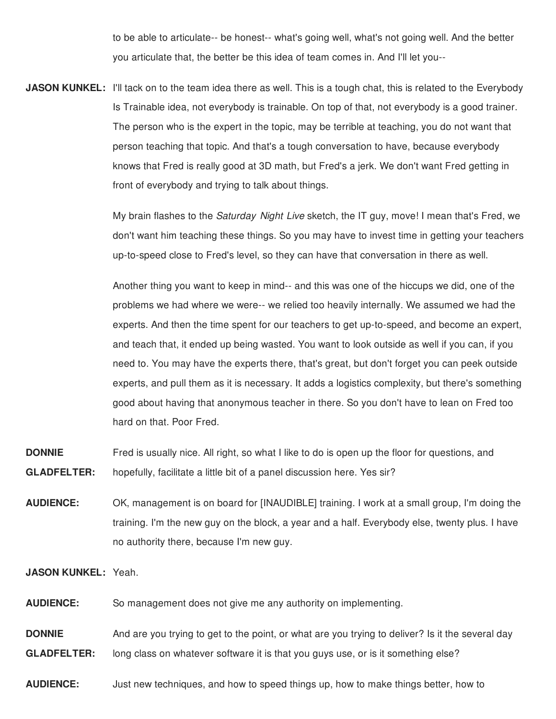to be able to articulate-- be honest-- what's going well, what's not going well. And the better you articulate that, the better be this idea of team comes in. And I'll let you--

**JASON KUNKEL:** I'll tack on to the team idea there as well. This is a tough chat, this is related to the Everybody Is Trainable idea, not everybody is trainable. On top of that, not everybody is a good trainer. The person who is the expert in the topic, may be terrible at teaching, you do not want that person teaching that topic. And that's a tough conversation to have, because everybody knows that Fred is really good at 3D math, but Fred's a jerk. We don't want Fred getting in front of everybody and trying to talk about things.

> My brain flashes to the *Saturday Night Live* sketch, the IT guy, move! I mean that's Fred, we don't want him teaching these things. So you may have to invest time in getting your teachers up-to-speed close to Fred's level, so they can have that conversation in there as well.

> Another thing you want to keep in mind-- and this was one of the hiccups we did, one of the problems we had where we were-- we relied too heavily internally. We assumed we had the experts. And then the time spent for our teachers to get up-to-speed, and become an expert, and teach that, it ended up being wasted. You want to look outside as well if you can, if you need to. You may have the experts there, that's great, but don't forget you can peek outside experts, and pull them as it is necessary. It adds a logistics complexity, but there's something good about having that anonymous teacher in there. So you don't have to lean on Fred too hard on that. Poor Fred.

- **DONNIE GLADFELTER:** Fred is usually nice. All right, so what I like to do is open up the floor for questions, and hopefully, facilitate a little bit of a panel discussion here. Yes sir?
- **AUDIENCE:** OK, management is on board for [INAUDIBLE] training. I work at a small group, I'm doing the training. I'm the new guy on the block, a year and a half. Everybody else, twenty plus. I have no authority there, because I'm new guy.

**JASON KUNKEL:** Yeah.

**AUDIENCE:** So management does not give me any authority on implementing.

**DONNIE** And are you trying to get to the point, or what are you trying to deliver? Is it the several day

**GLADFELTER:** long class on whatever software it is that you guys use, or is it something else?

**AUDIENCE:** Just new techniques, and how to speed things up, how to make things better, how to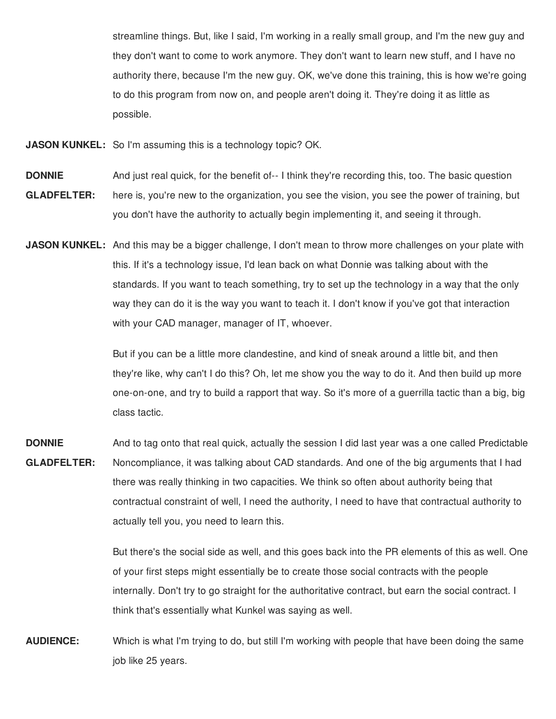streamline things. But, like I said, I'm working in a really small group, and I'm the new guy and they don't want to come to work anymore. They don't want to learn new stuff, and I have no authority there, because I'm the new guy. OK, we've done this training, this is how we're going to do this program from now on, and people aren't doing it. They're doing it as little as possible.

**JASON KUNKEL:** So I'm assuming this is a technology topic? OK.

**DONNIE** And just real quick, for the benefit of-- I think they're recording this, too. The basic question

**GLADFELTER:** here is, you're new to the organization, you see the vision, you see the power of training, but you don't have the authority to actually begin implementing it, and seeing it through.

**JASON KUNKEL:** And this may be a bigger challenge, I don't mean to throw more challenges on your plate with this. If it's a technology issue, I'd lean back on what Donnie was talking about with the standards. If you want to teach something, try to set up the technology in a way that the only way they can do it is the way you want to teach it. I don't know if you've got that interaction with your CAD manager, manager of IT, whoever.

> But if you can be a little more clandestine, and kind of sneak around a little bit, and then they're like, why can't I do this? Oh, let me show you the way to do it. And then build up more one-on-one, and try to build a rapport that way. So it's more of a guerrilla tactic than a big, big class tactic.

**DONNIE GLADFELTER:** And to tag onto that real quick, actually the session I did last year was a one called Predictable Noncompliance, it was talking about CAD standards. And one of the big arguments that I had there was really thinking in two capacities. We think so often about authority being that contractual constraint of well, I need the authority, I need to have that contractual authority to actually tell you, you need to learn this.

> But there's the social side as well, and this goes back into the PR elements of this as well. One of your first steps might essentially be to create those social contracts with the people internally. Don't try to go straight for the authoritative contract, but earn the social contract. I think that's essentially what Kunkel was saying as well.

**AUDIENCE:** Which is what I'm trying to do, but still I'm working with people that have been doing the same job like 25 years.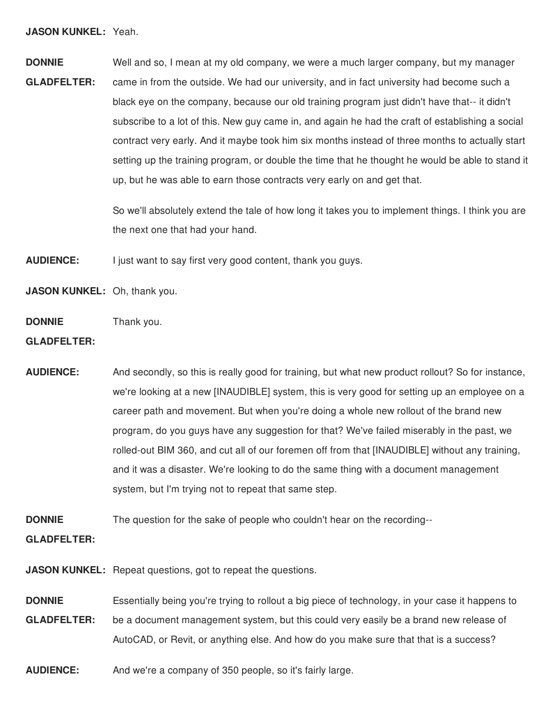**JASON KUNKEL:** Yeah.

**DONNIE GLADFELTER:** Well and so, I mean at my old company, we were a much larger company, but my manager came in from the outside. We had our university, and in fact university had become such a black eye on the company, because our old training program just didn't have that-- it didn't subscribe to a lot of this. New guy came in, and again he had the craft of establishing a social contract very early. And it maybe took him six months instead of three months to actually start setting up the training program, or double the time that he thought he would be able to stand it up, but he was able to earn those contracts very early on and get that.

> So we'll absolutely extend the tale of how long it takes you to implement things. I think you are the next one that had your hand.

**AUDIENCE:** I just want to say first very good content, thank you guys.

- **JASON KUNKEL:** Oh, thank you.
- **DONNIE** Thank you.

**GLADFELTER:**

**AUDIENCE:** And secondly, so this is really good for training, but what new product rollout? So for instance, we're looking at a new [INAUDIBLE] system, this is very good for setting up an employee on a career path and movement. But when you're doing a whole new rollout of the brand new program, do you guys have any suggestion for that? We've failed miserably in the past, we rolled-out BIM 360, and cut all of our foremen off from that [INAUDIBLE] without any training, and it was a disaster. We're looking to do the same thing with a document management system, but I'm trying not to repeat that same step.

**DONNIE** The question for the sake of people who couldn't hear on the recording--

**GLADFELTER:**

**JASON KUNKEL:** Repeat questions, got to repeat the questions.

**DONNIE GLADFELTER:** Essentially being you're trying to rollout a big piece of technology, in your case it happens to be a document management system, but this could very easily be a brand new release of AutoCAD, or Revit, or anything else. And how do you make sure that that is a success?

**AUDIENCE:** And we're a company of 350 people, so it's fairly large.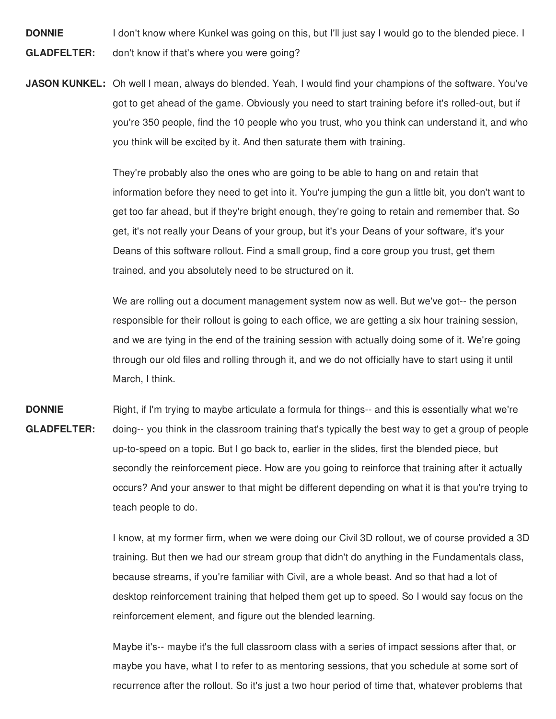**DONNIE GLADFELTER:** I don't know where Kunkel was going on this, but I'll just say I would go to the blended piece. I don't know if that's where you were going?

**JASON KUNKEL:** Oh well I mean, always do blended. Yeah, I would find your champions of the software. You've got to get ahead of the game. Obviously you need to start training before it's rolled-out, but if you're 350 people, find the 10 people who you trust, who you think can understand it, and who you think will be excited by it. And then saturate them with training.

> They're probably also the ones who are going to be able to hang on and retain that information before they need to get into it. You're jumping the gun a little bit, you don't want to get too far ahead, but if they're bright enough, they're going to retain and remember that. So get, it's not really your Deans of your group, but it's your Deans of your software, it's your Deans of this software rollout. Find a small group, find a core group you trust, get them trained, and you absolutely need to be structured on it.

We are rolling out a document management system now as well. But we've got-- the person responsible for their rollout is going to each office, we are getting a six hour training session, and we are tying in the end of the training session with actually doing some of it. We're going through our old files and rolling through it, and we do not officially have to start using it until March, I think.

**DONNIE GLADFELTER:** Right, if I'm trying to maybe articulate a formula for things-- and this is essentially what we're doing-- you think in the classroom training that's typically the best way to get a group of people up-to-speed on a topic. But I go back to, earlier in the slides, first the blended piece, but secondly the reinforcement piece. How are you going to reinforce that training after it actually occurs? And your answer to that might be different depending on what it is that you're trying to teach people to do.

> I know, at my former firm, when we were doing our Civil 3D rollout, we of course provided a 3D training. But then we had our stream group that didn't do anything in the Fundamentals class, because streams, if you're familiar with Civil, are a whole beast. And so that had a lot of desktop reinforcement training that helped them get up to speed. So I would say focus on the reinforcement element, and figure out the blended learning.

Maybe it's-- maybe it's the full classroom class with a series of impact sessions after that, or maybe you have, what I to refer to as mentoring sessions, that you schedule at some sort of recurrence after the rollout. So it's just a two hour period of time that, whatever problems that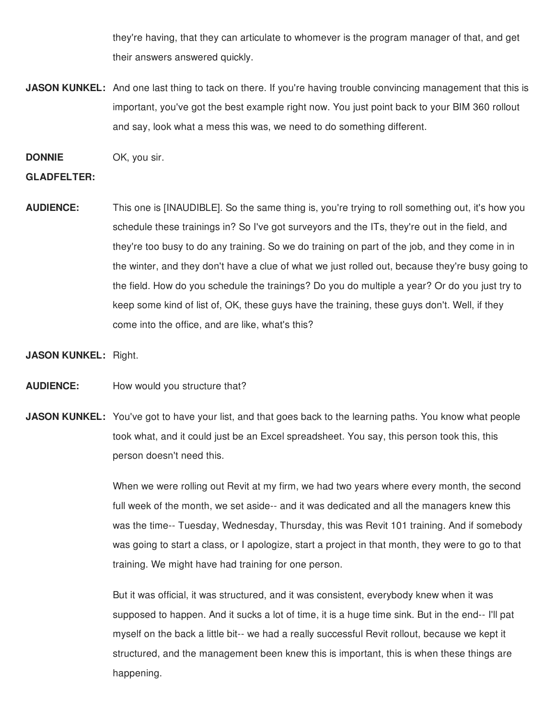they're having, that they can articulate to whomever is the program manager of that, and get their answers answered quickly.

**JASON KUNKEL:** And one last thing to tack on there. If you're having trouble convincing management that this is important, you've got the best example right now. You just point back to your BIM 360 rollout and say, look what a mess this was, we need to do something different.

**DONNIE** OK, you sir.

### **GLADFELTER:**

- **AUDIENCE:** This one is [INAUDIBLE]. So the same thing is, you're trying to roll something out, it's how you schedule these trainings in? So I've got surveyors and the ITs, they're out in the field, and they're too busy to do any training. So we do training on part of the job, and they come in in the winter, and they don't have a clue of what we just rolled out, because they're busy going to the field. How do you schedule the trainings? Do you do multiple a year? Or do you just try to keep some kind of list of, OK, these guys have the training, these guys don't. Well, if they come into the office, and are like, what's this?
- **JASON KUNKEL:** Right.
- **AUDIENCE:** How would you structure that?
- **JASON KUNKEL:** You've got to have your list, and that goes back to the learning paths. You know what people took what, and it could just be an Excel spreadsheet. You say, this person took this, this person doesn't need this.

When we were rolling out Revit at my firm, we had two years where every month, the second full week of the month, we set aside-- and it was dedicated and all the managers knew this was the time-- Tuesday, Wednesday, Thursday, this was Revit 101 training. And if somebody was going to start a class, or I apologize, start a project in that month, they were to go to that training. We might have had training for one person.

But it was official, it was structured, and it was consistent, everybody knew when it was supposed to happen. And it sucks a lot of time, it is a huge time sink. But in the end-- I'll pat myself on the back a little bit-- we had a really successful Revit rollout, because we kept it structured, and the management been knew this is important, this is when these things are happening.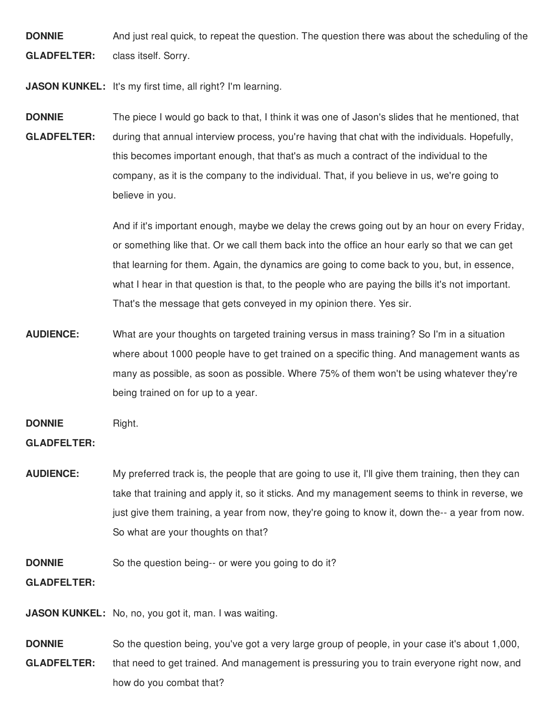**DONNIE GLADFELTER:** And just real quick, to repeat the question. The question there was about the scheduling of the class itself. Sorry.

**JASON KUNKEL:** It's my first time, all right? I'm learning.

**DONNIE GLADFELTER:** The piece I would go back to that, I think it was one of Jason's slides that he mentioned, that during that annual interview process, you're having that chat with the individuals. Hopefully, this becomes important enough, that that's as much a contract of the individual to the company, as it is the company to the individual. That, if you believe in us, we're going to believe in you.

> And if it's important enough, maybe we delay the crews going out by an hour on every Friday, or something like that. Or we call them back into the office an hour early so that we can get that learning for them. Again, the dynamics are going to come back to you, but, in essence, what I hear in that question is that, to the people who are paying the bills it's not important. That's the message that gets conveyed in my opinion there. Yes sir.

- **AUDIENCE:** What are your thoughts on targeted training versus in mass training? So I'm in a situation where about 1000 people have to get trained on a specific thing. And management wants as many as possible, as soon as possible. Where 75% of them won't be using whatever they're being trained on for up to a year.
- **DONNIE** Right.

#### **GLADFELTER:**

**AUDIENCE:** My preferred track is, the people that are going to use it, I'll give them training, then they can take that training and apply it, so it sticks. And my management seems to think in reverse, we just give them training, a year from now, they're going to know it, down the-- a year from now. So what are your thoughts on that?

**DONNIE** So the question being-- or were you going to do it?

**GLADFELTER:**

**JASON KUNKEL:** No, no, you got it, man. I was waiting.

**DONNIE GLADFELTER:** So the question being, you've got a very large group of people, in your case it's about 1,000, that need to get trained. And management is pressuring you to train everyone right now, and how do you combat that?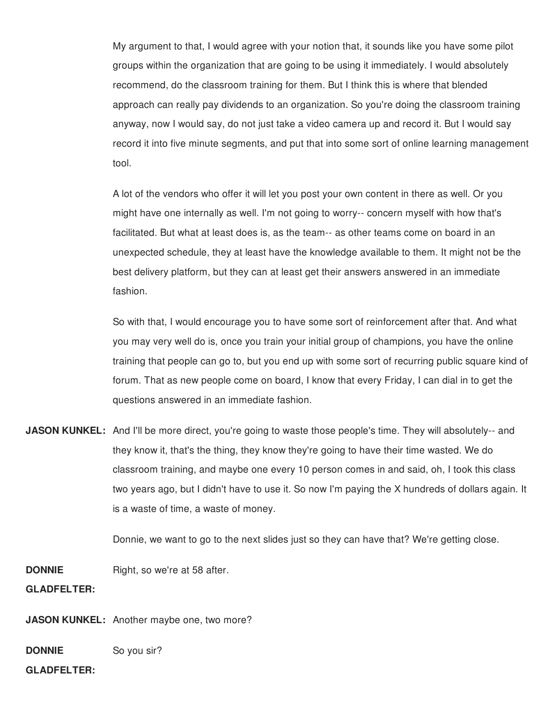My argument to that, I would agree with your notion that, it sounds like you have some pilot groups within the organization that are going to be using it immediately. I would absolutely recommend, do the classroom training for them. But I think this is where that blended approach can really pay dividends to an organization. So you're doing the classroom training anyway, now I would say, do not just take a video camera up and record it. But I would say record it into five minute segments, and put that into some sort of online learning management tool.

A lot of the vendors who offer it will let you post your own content in there as well. Or you might have one internally as well. I'm not going to worry-- concern myself with how that's facilitated. But what at least does is, as the team-- as other teams come on board in an unexpected schedule, they at least have the knowledge available to them. It might not be the best delivery platform, but they can at least get their answers answered in an immediate fashion.

So with that, I would encourage you to have some sort of reinforcement after that. And what you may very well do is, once you train your initial group of champions, you have the online training that people can go to, but you end up with some sort of recurring public square kind of forum. That as new people come on board, I know that every Friday, I can dial in to get the questions answered in an immediate fashion.

**JASON KUNKEL:** And I'll be more direct, you're going to waste those people's time. They will absolutely-- and they know it, that's the thing, they know they're going to have their time wasted. We do classroom training, and maybe one every 10 person comes in and said, oh, I took this class two years ago, but I didn't have to use it. So now I'm paying the X hundreds of dollars again. It is a waste of time, a waste of money.

Donnie, we want to go to the next slides just so they can have that? We're getting close.

**DONNIE** Right, so we're at 58 after.

**GLADFELTER:**

- **JASON KUNKEL:** Another maybe one, two more?
- **DONNIE** So you sir?

**GLADFELTER:**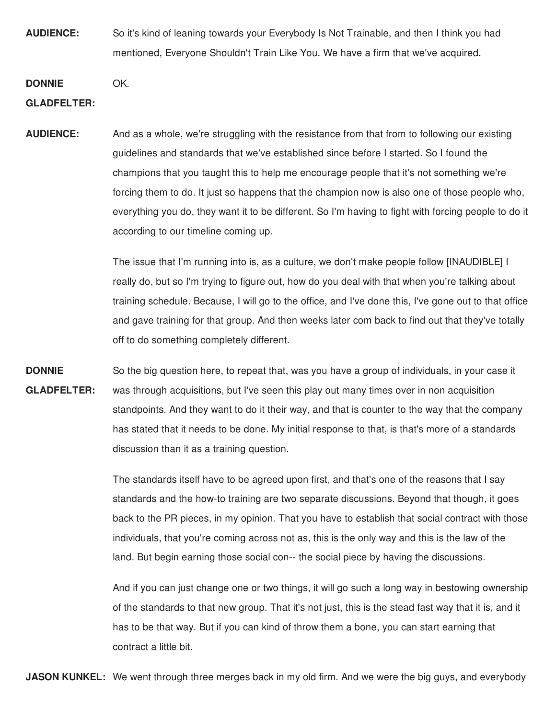**AUDIENCE:** So it's kind of leaning towards your Everybody Is Not Trainable, and then I think you had mentioned, Everyone Shouldn't Train Like You. We have a firm that we've acquired.

**DONNIE** OK.

# **GLADFELTER:**

**AUDIENCE:** And as a whole, we're struggling with the resistance from that from to following our existing guidelines and standards that we've established since before I started. So I found the champions that you taught this to help me encourage people that it's not something we're forcing them to do. It just so happens that the champion now is also one of those people who, everything you do, they want it to be different. So I'm having to fight with forcing people to do it according to our timeline coming up.

> The issue that I'm running into is, as a culture, we don't make people follow [INAUDIBLE] I really do, but so I'm trying to figure out, how do you deal with that when you're talking about training schedule. Because, I will go to the office, and I've done this, I've gone out to that office and gave training for that group. And then weeks later com back to find out that they've totally off to do something completely different.

**DONNIE GLADFELTER:** So the big question here, to repeat that, was you have a group of individuals, in your case it was through acquisitions, but I've seen this play out many times over in non acquisition standpoints. And they want to do it their way, and that is counter to the way that the company has stated that it needs to be done. My initial response to that, is that's more of a standards discussion than it as a training question.

> The standards itself have to be agreed upon first, and that's one of the reasons that I say standards and the how-to training are two separate discussions. Beyond that though, it goes back to the PR pieces, in my opinion. That you have to establish that social contract with those individuals, that you're coming across not as, this is the only way and this is the law of the land. But begin earning those social con-- the social piece by having the discussions.

> And if you can just change one or two things, it will go such a long way in bestowing ownership of the standards to that new group. That it's not just, this is the stead fast way that it is, and it has to be that way. But if you can kind of throw them a bone, you can start earning that contract a little bit.